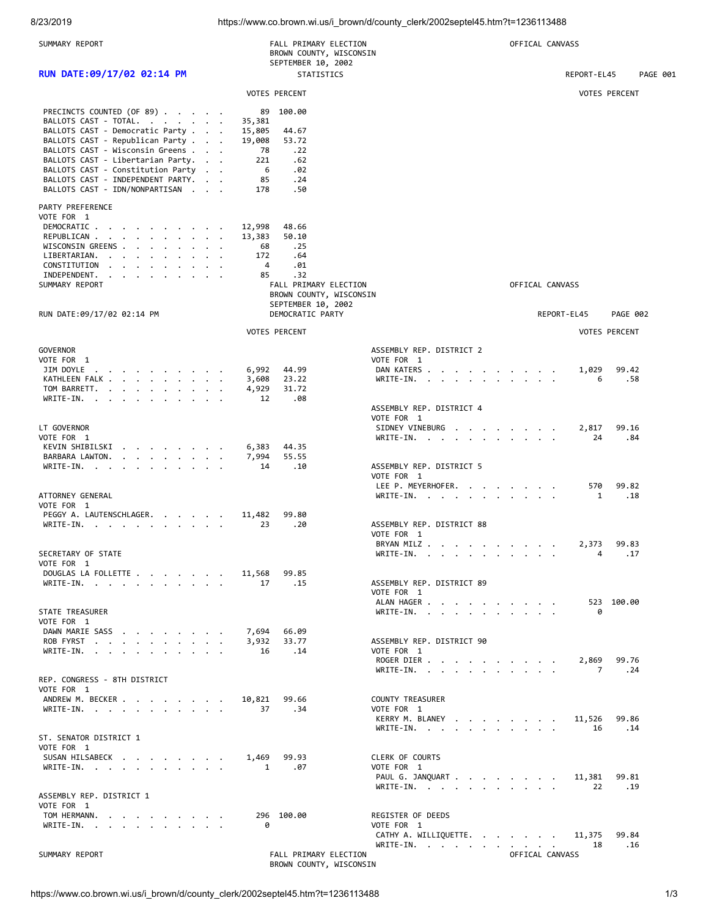8/23/2019 https://www.co.brown.wi.us/i\_brown/d/county\_clerk/2002septel45.htm?t=1236113488

| SUMMARY REPORT                                                                                                                                                                                   | FALL PRIMARY ELECTION<br>BROWN COUNTY, WISCONSIN<br>SEPTEMBER 10, 2002 |                                           | OFFICAL CANVASS |                      |
|--------------------------------------------------------------------------------------------------------------------------------------------------------------------------------------------------|------------------------------------------------------------------------|-------------------------------------------|-----------------|----------------------|
| RUN DATE:09/17/02 02:14 PM                                                                                                                                                                       | STATISTICS                                                             |                                           | REPORT-EL45     | PAGE 001             |
|                                                                                                                                                                                                  |                                                                        |                                           |                 |                      |
|                                                                                                                                                                                                  | <b>VOTES PERCENT</b>                                                   |                                           |                 | <b>VOTES PERCENT</b> |
| PRECINCTS COUNTED (OF 89)                                                                                                                                                                        | 89 100.00                                                              |                                           |                 |                      |
| BALLOTS CAST - TOTAL.<br>BALLOTS CAST - Democratic Party                                                                                                                                         | 35,381<br>15,805<br>44.67                                              |                                           |                 |                      |
| BALLOTS CAST - Republican Party                                                                                                                                                                  | 53.72<br>19,008                                                        |                                           |                 |                      |
| BALLOTS CAST - Wisconsin Greens                                                                                                                                                                  | 78<br>.22                                                              |                                           |                 |                      |
| BALLOTS CAST - Libertarian Party.<br>BALLOTS CAST - Constitution Party                                                                                                                           | 221<br>.62<br>6<br>.02                                                 |                                           |                 |                      |
| BALLOTS CAST - INDEPENDENT PARTY.                                                                                                                                                                | 85<br>.24                                                              |                                           |                 |                      |
| BALLOTS CAST - IDN/NONPARTISAN                                                                                                                                                                   | .50<br>178                                                             |                                           |                 |                      |
| PARTY PREFERENCE                                                                                                                                                                                 |                                                                        |                                           |                 |                      |
| VOTE FOR 1                                                                                                                                                                                       |                                                                        |                                           |                 |                      |
| DEMOCRATIC<br>REPUBLICAN                                                                                                                                                                         | 48.66<br>12,998<br>13,383<br>50.10                                     |                                           |                 |                      |
| WISCONSIN GREENS                                                                                                                                                                                 | 68<br>.25                                                              |                                           |                 |                      |
| LIBERTARIAN.<br>the contract of the contract of the contract of the contract of the contract of the contract of the contract of                                                                  | 172<br>.64                                                             |                                           |                 |                      |
| CONSTITUTION<br>$\mathbf{r}$ , and $\mathbf{r}$ , and $\mathbf{r}$ , and $\mathbf{r}$<br>INDEPENDENT.<br>$\mathbf{r}$ , $\mathbf{r}$ , $\mathbf{r}$ , $\mathbf{r}$ , $\mathbf{r}$ , $\mathbf{r}$ | 4<br>.01<br>.32<br>85                                                  |                                           |                 |                      |
| SUMMARY REPORT                                                                                                                                                                                   | FALL PRIMARY ELECTION                                                  |                                           | OFFICAL CANVASS |                      |
| RUN DATE:09/17/02 02:14 PM                                                                                                                                                                       | BROWN COUNTY, WISCONSIN<br>SEPTEMBER 10, 2002                          |                                           |                 |                      |
|                                                                                                                                                                                                  | DEMOCRATIC PARTY                                                       |                                           | REPORT-EL45     | <b>PAGE 002</b>      |
|                                                                                                                                                                                                  | <b>VOTES PERCENT</b>                                                   |                                           |                 | <b>VOTES PERCENT</b> |
| <b>GOVERNOR</b>                                                                                                                                                                                  |                                                                        | ASSEMBLY REP. DISTRICT 2                  |                 |                      |
| VOTE FOR 1                                                                                                                                                                                       |                                                                        | VOTE FOR 1                                |                 |                      |
| JIM DOYLE<br>the contract of the contract of the<br>KATHLEEN FALK                                                                                                                                | 6,992<br>44.99<br>3,608<br>23.22                                       | DAN KATERS<br>WRITE-IN.                   | 1,029<br>6      | 99.42<br>.58         |
| TOM BARRETT.                                                                                                                                                                                     | 4,929<br>31.72                                                         |                                           |                 |                      |
| WRITE-IN.                                                                                                                                                                                        | .08<br>12                                                              |                                           |                 |                      |
|                                                                                                                                                                                                  |                                                                        | ASSEMBLY REP. DISTRICT 4<br>VOTE FOR 1    |                 |                      |
| LT GOVERNOR                                                                                                                                                                                      |                                                                        | SIDNEY VINEBURG                           | 2,817           | 99.16                |
| VOTE FOR 1                                                                                                                                                                                       |                                                                        | WRITE-IN.                                 | 24              | .84                  |
| KEVIN SHIBILSKI                                                                                                                                                                                  | 6,383<br>44.35                                                         |                                           |                 |                      |
| BARBARA LAWTON.<br>WRITE-IN.                                                                                                                                                                     | 7,994<br>55.55<br>.10<br>14                                            | ASSEMBLY REP. DISTRICT 5                  |                 |                      |
|                                                                                                                                                                                                  |                                                                        | VOTE FOR 1                                |                 |                      |
| ATTORNEY GENERAL                                                                                                                                                                                 |                                                                        | LEE P. MEYERHOFER.                        | 570             | 99.82                |
| VOTE FOR 1                                                                                                                                                                                       |                                                                        | WRITE-IN.                                 | 1               | .18                  |
| PEGGY A. LAUTENSCHLAGER.                                                                                                                                                                         | 11,482<br>99.80                                                        |                                           |                 |                      |
| WRITE-IN.                                                                                                                                                                                        | .20<br>23                                                              | ASSEMBLY REP. DISTRICT 88<br>VOTE FOR 1   |                 |                      |
|                                                                                                                                                                                                  |                                                                        | BRYAN MILZ                                | 2.373           | 99.83                |
| SECRETARY OF STATE                                                                                                                                                                               |                                                                        | WRITE-IN.                                 |                 | $4 \quad$<br>.17     |
| VOTE FOR 1<br>DOUGLAS LA FOLLETTE 11,568 99.85                                                                                                                                                   |                                                                        |                                           |                 |                      |
| WRITE-IN.                                                                                                                                                                                        | .15<br>17                                                              | ASSEMBLY REP. DISTRICT 89                 |                 |                      |
|                                                                                                                                                                                                  |                                                                        | VOTE FOR 1                                |                 |                      |
| <b>STATE TREASURER</b>                                                                                                                                                                           |                                                                        | ALAN HAGER                                | 0               | 523 100.00           |
| VOTE FOR 1                                                                                                                                                                                       |                                                                        | WRITE-IN.                                 |                 |                      |
| DAWN MARIE SASS                                                                                                                                                                                  | 7,694 66.09                                                            |                                           |                 |                      |
| ROB FYRST                                                                                                                                                                                        | 3,932 33.77<br>$\cdot$ 14<br><sup>16</sup>                             | ASSEMBLY REP. DISTRICT 90<br>VOTE FOR 1   |                 |                      |
| WRITE-IN.                                                                                                                                                                                        |                                                                        | ROGER DIER                                |                 | 2,869 99.76          |
|                                                                                                                                                                                                  |                                                                        | WRITE-IN.                                 | $\overline{7}$  | . 24                 |
| REP. CONGRESS - 8TH DISTRICT<br>VOTE FOR 1                                                                                                                                                       |                                                                        |                                           |                 |                      |
| ANDREW M. BECKER                                                                                                                                                                                 | 10,821 99.66                                                           | <b>COUNTY TREASURER</b>                   |                 |                      |
| WRITE-IN.                                                                                                                                                                                        | 37<br>.34                                                              | VOTE FOR 1                                |                 |                      |
|                                                                                                                                                                                                  |                                                                        | KERRY M. BLANEY 11,526 99.86<br>WRITE-IN. | 16              | .14                  |
| ST. SENATOR DISTRICT 1                                                                                                                                                                           |                                                                        |                                           |                 |                      |
| VOTE FOR 1                                                                                                                                                                                       |                                                                        |                                           |                 |                      |
| SUSAN HILSABECK<br>WRITE-IN.                                                                                                                                                                     | 1,469 99.93<br>1.07                                                    | CLERK OF COURTS<br>VOTE FOR 1             |                 |                      |
|                                                                                                                                                                                                  |                                                                        | PAUL G. JANQUART                          | 11,381 99.81    |                      |
|                                                                                                                                                                                                  |                                                                        | WRITE-IN.                                 | 22              | .19                  |
| ASSEMBLY REP. DISTRICT 1<br>VOTE FOR 1                                                                                                                                                           |                                                                        |                                           |                 |                      |
| TOM HERMANN.                                                                                                                                                                                     | 296 100.00                                                             | REGISTER OF DEEDS                         |                 |                      |
| WRITE-IN.                                                                                                                                                                                        | 0                                                                      | VOTE FOR 1                                |                 |                      |
|                                                                                                                                                                                                  |                                                                        | CATHY A. WILLIQUETTE.<br>WRITE-IN.        | 11,375<br>18    | 99.84<br>.16         |
| SUMMARY REPORT                                                                                                                                                                                   | FALL PRIMARY ELECTION                                                  |                                           | OFFICAL CANVASS |                      |
|                                                                                                                                                                                                  | BROWN COUNTY, WISCONSIN                                                |                                           |                 |                      |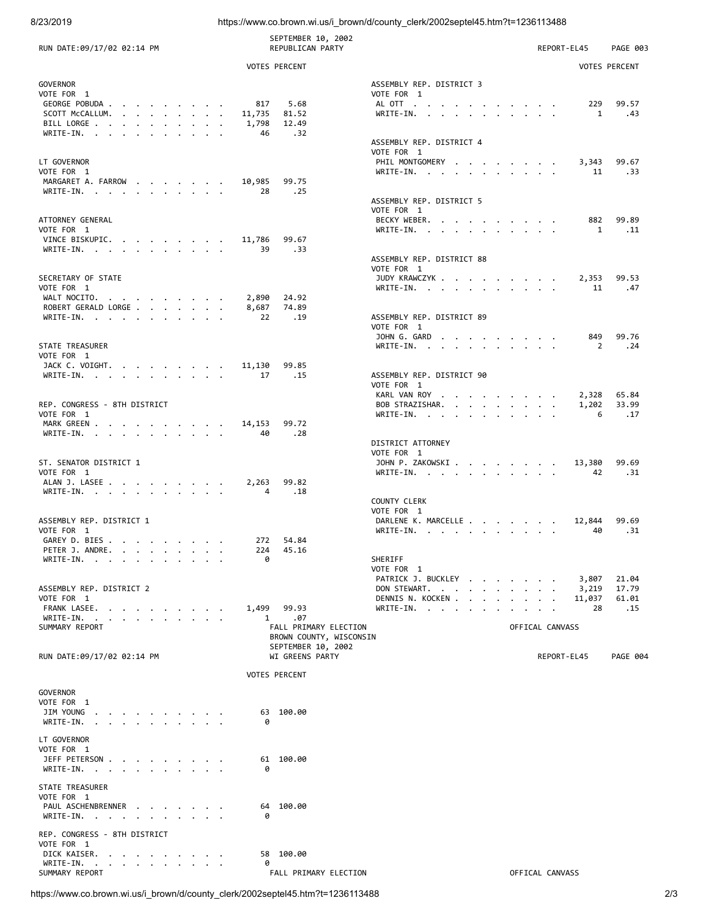8/23/2019 https://www.co.brown.wi.us/i\_brown/d/county\_clerk/2002septel45.htm?t=1236113488

| RUN DATE:09/17/02 02:14 PM                                                                                                                                                                                                                        | SEPTEMBER 10, 2002<br><b>REPUBLICAN PARTY</b>    |                                        | REPORT-EL45<br>PAGE 003             |
|---------------------------------------------------------------------------------------------------------------------------------------------------------------------------------------------------------------------------------------------------|--------------------------------------------------|----------------------------------------|-------------------------------------|
|                                                                                                                                                                                                                                                   | <b>VOTES PERCENT</b>                             |                                        | <b>VOTES PERCENT</b>                |
| <b>GOVERNOR</b><br>VOTE FOR 1                                                                                                                                                                                                                     |                                                  | ASSEMBLY REP. DISTRICT 3<br>VOTE FOR 1 |                                     |
| GEORGE POBUDA<br>SCOTT McCALLUM.                                                                                                                                                                                                                  | 817<br>5.68<br>11,735<br>81.52                   | ALOTT<br>WRITE-IN.                     | 229<br>99.57<br>$\mathbf{1}$<br>.43 |
| BILL LORGE                                                                                                                                                                                                                                        | 1,798<br>12.49                                   |                                        |                                     |
| WRITE-IN.                                                                                                                                                                                                                                         | - 46<br>.32                                      | ASSEMBLY REP. DISTRICT 4               |                                     |
|                                                                                                                                                                                                                                                   |                                                  | VOTE FOR 1                             |                                     |
| LT GOVERNOR                                                                                                                                                                                                                                       |                                                  | PHIL MONTGOMERY                        | 3,343<br>99.67                      |
| VOTE FOR 1<br>MARGARET A. FARROW 10,985                                                                                                                                                                                                           | 99.75                                            | WRITE-IN.                              | .33<br>11                           |
| WRITE-IN.                                                                                                                                                                                                                                         | 28<br>.25                                        |                                        |                                     |
|                                                                                                                                                                                                                                                   |                                                  | ASSEMBLY REP. DISTRICT 5<br>VOTE FOR 1 |                                     |
| ATTORNEY GENERAL                                                                                                                                                                                                                                  |                                                  | BECKY WEBER.                           | 99.89<br>882                        |
| VOTE FOR 1                                                                                                                                                                                                                                        |                                                  | WRITE-IN, , , , , , , , , , , ,        | $\overline{1}$<br>.11               |
| VINCE BISKUPIC. 11,786<br>WRITE-IN.                                                                                                                                                                                                               | 99.67<br>.33<br>39                               |                                        |                                     |
|                                                                                                                                                                                                                                                   |                                                  | ASSEMBLY REP. DISTRICT 88              |                                     |
|                                                                                                                                                                                                                                                   |                                                  | VOTE FOR 1                             |                                     |
| SECRETARY OF STATE<br>VOTE FOR 1                                                                                                                                                                                                                  |                                                  | JUDY KRAWCZYK 2,353<br>WRITE-IN.       | 99.53<br>.47<br>11                  |
| WALT NOCITO.                                                                                                                                                                                                                                      | 2,890<br>24.92                                   |                                        |                                     |
| ROBERT GERALD LORGE<br>WRITE-IN.                                                                                                                                                                                                                  | 8,687<br>74.89<br>22<br>$\ldots$ 19              | ASSEMBLY REP. DISTRICT 89              |                                     |
|                                                                                                                                                                                                                                                   |                                                  | VOTE FOR 1                             |                                     |
|                                                                                                                                                                                                                                                   |                                                  | JOHN G. GARD                           | 849<br>99.76                        |
| STATE TREASURER<br>VOTE FOR 1                                                                                                                                                                                                                     |                                                  | WRITE-IN.                              | $\overline{2}$<br>.24               |
| JACK C. VOIGHT. 11,130                                                                                                                                                                                                                            | 99.85                                            |                                        |                                     |
| WRITE-IN. 17                                                                                                                                                                                                                                      | $\cdot$ 15                                       | ASSEMBLY REP. DISTRICT 90              |                                     |
|                                                                                                                                                                                                                                                   |                                                  | VOTE FOR 1<br>KARL VAN ROY             | 65.84<br>2,328                      |
| REP. CONGRESS - 8TH DISTRICT                                                                                                                                                                                                                      |                                                  | BOB STRAZISHAR.                        | 1,202<br>33.99                      |
| VOTE FOR 1<br>MARK GREEN 14,153                                                                                                                                                                                                                   | 99.72                                            | WRITE-IN.                              | 6<br>.17                            |
| WRITE-IN.                                                                                                                                                                                                                                         | .28<br>40                                        |                                        |                                     |
|                                                                                                                                                                                                                                                   |                                                  | DISTRICT ATTORNEY                      |                                     |
| ST. SENATOR DISTRICT 1                                                                                                                                                                                                                            |                                                  | VOTE FOR 1<br>JOHN P. ZAKOWSKI 13,380  | 99.69                               |
| VOTE FOR 1                                                                                                                                                                                                                                        |                                                  | WRITE-IN.                              | .31<br>42                           |
| ALAN J. LASEE                                                                                                                                                                                                                                     | 2,263<br>99.82<br>4                              |                                        |                                     |
| WRITE-IN.                                                                                                                                                                                                                                         | .18                                              | <b>COUNTY CLERK</b>                    |                                     |
|                                                                                                                                                                                                                                                   |                                                  | VOTE FOR 1                             |                                     |
| ASSEMBLY REP. DISTRICT 1<br>VOTE FOR 1                                                                                                                                                                                                            |                                                  | DARLENE K. MARCELLE<br>$WRITE-IN.$     | 12,844<br>99.69<br>.31<br>40        |
| GAREY D. BIES                                                                                                                                                                                                                                     | 272 54.84                                        |                                        |                                     |
| PETER J. ANDRE<br>the contract of the contract of the contract of the contract of the contract of the contract of the contract of                                                                                                                 | 224 45.16                                        |                                        |                                     |
| WRITE-IN.                                                                                                                                                                                                                                         | 0                                                | SHERIFF<br>VOTE FOR 1                  |                                     |
|                                                                                                                                                                                                                                                   |                                                  | PATRICK J. BUCKLEY                     | 3,807<br>21.04                      |
| ASSEMBLY REP. DISTRICT 2<br>VOTE FOR 1                                                                                                                                                                                                            |                                                  | DON STEWART.<br>DENNIS N. KOCKEN       | 3,219<br>17.79<br>11,037<br>61.01   |
| FRANK LASEE.                                                                                                                                                                                                                                      | 1,499 99.93                                      | WRITE-IN.                              | .15<br>28                           |
| WRITE-IN.<br><u>in the second contract of the second contract of the second contract of the second contract of the second contract of the second contract of the second contract of the second contract of the second contract of the second </u> | .07<br>$\mathbf{1}$                              |                                        |                                     |
| SUMMARY REPORT                                                                                                                                                                                                                                    | FALL PRIMARY ELECTION<br>BROWN COUNTY, WISCONSIN |                                        | OFFICAL CANVASS                     |
|                                                                                                                                                                                                                                                   | SEPTEMBER 10, 2002                               |                                        |                                     |
| RUN DATE:09/17/02 02:14 PM                                                                                                                                                                                                                        | WI GREENS PARTY                                  |                                        | REPORT-EL45<br>PAGE 004             |
|                                                                                                                                                                                                                                                   | <b>VOTES PERCENT</b>                             |                                        |                                     |
| <b>GOVERNOR</b>                                                                                                                                                                                                                                   |                                                  |                                        |                                     |
| VOTE FOR 1                                                                                                                                                                                                                                        |                                                  |                                        |                                     |
| JIM YOUNG<br>WRITE-IN.                                                                                                                                                                                                                            | 63 100.00<br>0                                   |                                        |                                     |
|                                                                                                                                                                                                                                                   |                                                  |                                        |                                     |
| LT GOVERNOR                                                                                                                                                                                                                                       |                                                  |                                        |                                     |
| VOTE FOR 1<br>JEFF PETERSON                                                                                                                                                                                                                       | 61 100.00                                        |                                        |                                     |
| WRITE-IN.                                                                                                                                                                                                                                         | 0                                                |                                        |                                     |
| STATE TREASURER                                                                                                                                                                                                                                   |                                                  |                                        |                                     |
| VOTE FOR 1                                                                                                                                                                                                                                        |                                                  |                                        |                                     |
| PAUL ASCHENBRENNER                                                                                                                                                                                                                                | 64 100.00                                        |                                        |                                     |
| WRITE-IN.                                                                                                                                                                                                                                         | 0                                                |                                        |                                     |
| REP. CONGRESS - 8TH DISTRICT                                                                                                                                                                                                                      |                                                  |                                        |                                     |
| VOTE FOR 1<br>DICK KAISER.                                                                                                                                                                                                                        | 58 100.00                                        |                                        |                                     |
| WRITE-IN.                                                                                                                                                                                                                                         | 0                                                |                                        |                                     |
| SUMMARY REPORT                                                                                                                                                                                                                                    | FALL PRIMARY ELECTION                            |                                        | OFFICAL CANVASS                     |

https://www.co.brown.wi.us/i\_brown/d/county\_clerk/2002septel45.htm?t=1236113488